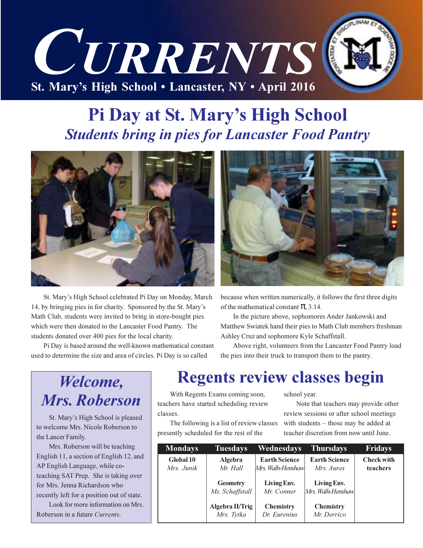

## Pi Day at St. Mary's High School **Students bring in pies for Lancaster Food Pantry**



St. Mary's High School celebrated Pi Day on Monday, March 14, by bringing pies in for charity. Sponsored by the St. Mary's Math Club, students were invited to bring in store-bought pies which were then donated to the Lancaster Food Pantry. The students donated over 400 pies for the local charity.

Pi Day is based around the well-known mathematical constant used to determine the size and area of circles. Pi Day is so called



because when written numerically, it follows the first three digits of the mathematical constant  $\pi$ , 3.14.

In the picture above, sophomores Ander Jankowski and Matthew Swiatek hand their pies to Math Club members freshman Ashley Cruz and sophomore Kyle Schaffstall.

Above right, volunteers from the Lancaster Food Pantry load the pies into their truck to transport them to the pantry.

## Welcome, **Mrs. Roberson**

St. Mary's High School is pleased to welcome Mrs. Nicole Roberson to the Lancer Family.

Mrs. Roberson will be teaching English 11, a section of English 12, and AP English Language, while coteaching SAT Prep. She is taking over for Mrs. Jenna Richardson who recently left for a position out of state.

Look for more information on Mrs. Roberson in a future Currents.

## **Regents review classes begin**

With Regents Exams coming soon, teachers have started scheduling review classes

The following is a list of review classes presently scheduled for the rest of the

school year.

Note that teachers may provide other review sessions or after school meetings with students – those may be added at teacher discretion from now until June.

| <b>Mondays</b>          | <b>Tuesdays</b>                    | Wednesdays                                | <b>Thursdays</b>                   | <b>Fridays</b>                |
|-------------------------|------------------------------------|-------------------------------------------|------------------------------------|-------------------------------|
| Global 10<br>Mrs. Junik | <b>Algebra</b><br>Mr. Hall         | <b>Earth Science</b><br>Mrs. Walh-Henshaw | <b>Earth Science</b><br>Mrs. Aures | <b>Check with</b><br>teachers |
|                         | <b>Geometry</b><br>Ms. Schaffstall | Living Env.<br>Mr. Conner                 | Living Env.<br>Mrs. Walh-Henshaw   |                               |
|                         | Algebra II/Trig<br>Mrs. Tytka      | <b>Chemistry</b><br>Dr. Eurenius          | <b>Chemistry</b><br>Mr. Derrico    |                               |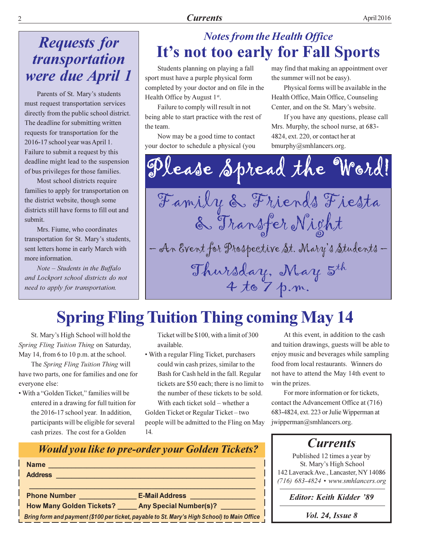## **Requests for** transportation were due April 1

Parents of St. Mary's students must request transportation services directly from the public school district. The deadline for submitting written requests for transportation for the 2016-17 school year was April 1. Failure to submit a request by this deadline might lead to the suspension of bus privileges for those families.

Most school districts require families to apply for transportation on the district website, though some districts still have forms to fill out and submit

Mrs. Fiume, who coordinates transportation for St. Mary's students, sent letters home in early March with more information.

Note - Students in the Buffalo and Lockport school districts do not need to apply for transportation.

## **Notes from the Health Office** It's not too early for Fall Sports

Students planning on playing a fall sport must have a purple physical form completed by your doctor and on file in the Health Office by August 1st.

Failure to comply will result in not being able to start practice with the rest of the team.

Now may be a good time to contact your doctor to schedule a physical (you may find that making an appointment over the summer will not be easy).

Physical forms will be available in the Health Office, Main Office, Counseling Center, and on the St. Mary's website.

If you have any questions, please call Mrs. Murphy, the school nurse, at 683-4824, ext. 220, or contact her at bmurphy@smhlancers.org.

Dlease Spread the Word! Family & Friends Fiesta & Transfer Night - An Event for Prospective St. Mary's Students -Thursday, May 5th 4 to 7 p.m.

## **Spring Fling Tuition Thing coming May 14**

St. Mary's High School will hold the Spring Fling Tuition Thing on Saturday, May 14, from 6 to 10 p.m. at the school.

The Spring Fling Tuition Thing will have two parts, one for families and one for everyone else:

• With a "Golden Ticket." families will be entered in a drawing for full tuition for the 2016-17 school year. In addition, participants will be eligible for several cash prizes. The cost for a Golden

Ticket will be \$100, with a limit of 300 available.

• With a regular Fling Ticket, purchasers could win cash prizes, similar to the Bash for Cash held in the fall. Regular tickets are \$50 each; there is no limit to the number of these tickets to be sold.

With each ticket sold - whether a Golden Ticket or Regular Ticket-two people will be admitted to the Fling on May  $14.$ 

At this event, in addition to the cash and tuition drawings, guests will be able to enjoy music and beverages while sampling food from local restaurants. Winners do not have to attend the May 14th event to win the prizes.

For more information or for tickets, contact the Advancement Office at (716) 683-4824, ext. 223 or Julie Wipperman at jwipperman@smhlancers.org.

## **Currents**

Published 12 times a year by St. Mary's High School 142 Laverack Ave., Lancaster, NY 14086  $(716)$  683-4824 • www.smhlancers.org

**Editor: Keith Kidder '89** 

|  |  |  |  | <i>Vol. 24, Issue 8</i> |  |
|--|--|--|--|-------------------------|--|
|--|--|--|--|-------------------------|--|

### **Would you like to pre-order your Golden Tickets?** Address **Management Community Community** Phone Number \_\_\_\_\_\_\_\_\_\_\_\_\_\_\_\_\_\_\_\_\_\_\_\_\_ E-Mail Address \_\_\_ How Many Golden Tickets? \_\_\_\_\_ Any Special Number(s)? \_ Bring form and payment (\$100 per ticket, payable to St. Mary's High School) to Main Office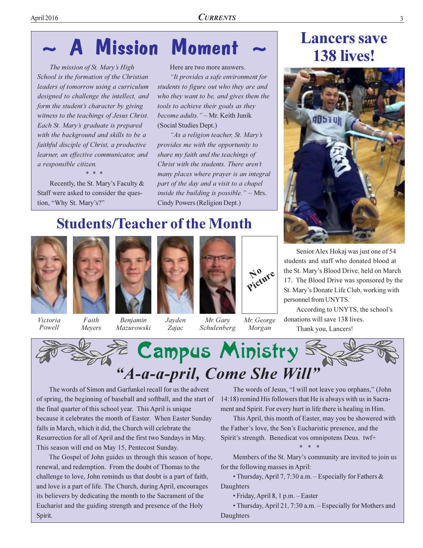### **Mission Moment** A

The mission of St. Mary's High School is the formation of the Christian leaders of tomorrow using a curriculum designed to challenge the intellect, and form the student's character by giving witness to the teachings of Jesus Christ. Each St. Mary's graduate is prepared with the background and skills to be a faithful disciple of Christ, a productive learner, an effective communicator, and a responsible citizen.

Recently, the St. Mary's Faculty & Staff were asked to consider the question, "Why St. Mary's?"

### Here are two more answers.

"It provides a safe environment for students to figure out who they are and who they want to be, and gives them the tools to achieve their goals as they *hecome adults.* " $\sim$  Mr. Keith Junik (Social Studies Dept.)

"As a religion teacher, St. Mary's provides me with the opportunity to share my faith and the teachings of Christ with the students. There aren't many places where prayer is an integral part of the day and a visit to a chapel inside the building is possible."  $\sim$  Mrs. Cindy Powers (Religion Dept.)

## **Students/Teacher of the Month**



Victoria Powell

Faith Meyers

Benjamin Mazurowski



Zajac

Picture

Morgan

Mr. Gary Mr. George Schulenberg

**Lancers save** 138 lives!



Senior Alex Hokaj was just one of 54 students and staff who donated blood at the St. Mary's Blood Drive, held on March 17. The Blood Drive was sponsored by the St. Mary's Donate Life Club, working with personnel from UNYTS.

According to UNYTS, the school's donations will save 138 lives. Thank you, Lancers!



The words of Simon and Garfunkel recall for us the advent of spring, the beginning of baseball and softball, and the start of the final quarter of this school year. This April is unique because it celebrates the month of Easter. When Easter Sunday falls in March, which it did, the Church will celebrate the Resurrection for all of April and the first two Sundays in May. This season will end on May 15, Pentecost Sunday.

The Gospel of John guides us through this season of hope, renewal, and redemption. From the doubt of Thomas to the challenge to love, John reminds us that doubt is a part of faith, and love is a part of life. The Church, during April, encourages its believers by dedicating the month to the Sacrament of the Eucharist and the guiding strength and presence of the Holy Spirit.

The words of Jesus, "I will not leave you orphans," (John 14:18) remind His followers that He is always with us in Sacrament and Spirit. For every hurt in life there is healing in Him.

This April, this month of Easter, may you be showered with the Father's love, the Son's Eucharistic presence, and the Spirit's strength. Benedicat vos omnipotens Deus. twf+

Members of the St. Mary's community are invited to join us for the following masses in April:

• Thursday, April 7, 7:30 a.m. – Especially for Fathers  $\&$ Daughters

• Friday, April 8, 1 p.m. - Easter

• Thursday, April 21, 7:30 a.m. - Especially for Mothers and Daughters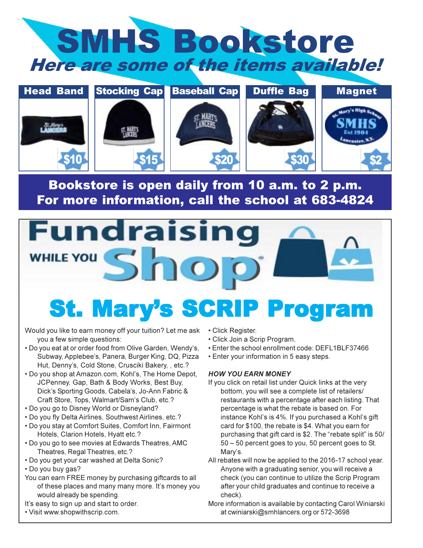



Bookstore is open daily from 10 a.m. to 2 p.m. For more information, call the school at 683-4824

# **Fundraising** WHILE YOU S

## **St. Mary's SCRIP Program**

Would you like to earn money off your tuition? Let me ask you a few simple questions:

- . Do you eat at or order food from Olive Garden, Wendy's, Subway, Applebee's, Panera, Burger King, DQ, Pizza Hut, Denny's, Cold Stone, Crusciki Bakery, , etc.?
- . Do you shop at Amazon.com, Kohl's, The Home Depot, JCPenney, Gap, Bath & Body Works, Best Buy, Dick's Sporting Goods, Cabela's, Jo-Ann Fabric & Craft Store, Tops, Walmart/Sam's Club, etc.?
- Do you go to Disney World or Disneyland?
- . Do you fly Delta Airlines, Southwest Airlines, etc.?
- . Do you stay at Comfort Suites, Comfort Inn, Fairmont Hotels, Clarion Hotels, Hyatt etc.?
- . Do you go to see movies at Edwards Theatres, AMC Theatres, Regal Theatres, etc.?
- . Do you get your car washed at Delta Sonic?
- Do you buy gas?
- You can earn FREE money by purchasing giftcards to all of these places and many many more. It's money you would already be spending.
- It's easy to sign up and start to order.
- Visit www.shopwithscrip.com.
- Click Register.
- Click Join a Scrip Program.
- Enter the school enrollment code: DEFL1BLF37466
- Enter your information in 5 easy steps.

### **HOW YOU EARN MONEY**

- If you click on retail list under Quick links at the very bottom, you will see a complete list of retailers/ restaurants with a percentage after each listing. That percentage is what the rebate is based on. For instance Kohl's is 4%. If you purchased a Kohl's gift card for \$100, the rebate is \$4. What you earn for purchasing that gift card is \$2. The "rebate split" is 50/ 50 - 50 percent goes to you, 50 percent goes to St. Mary's.
- All rebates will now be applied to the 2016-17 school year. Anyone with a graduating senior, you will receive a check (you can continue to utilize the Scrip Program after your child graduates and continue to receive a check).
- More information is available by contacting Carol Winiarski at cwiniarski@smhlancers.org or 572-3698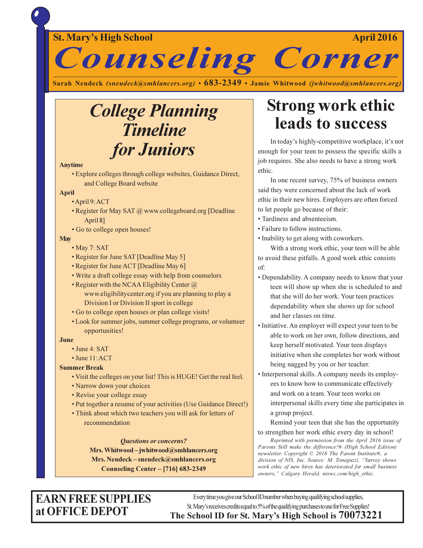### St. Mary's High School

**April 2016** 



Sarah Neudeck (sneudeck@smhlancers.org) • 683-2349 • Jamie Whitwood (jwhitwood@smhlancers.org)

## **College Planning Timeline** for Juniors

### **Anytime**

· Explore colleges through college websites, Guidance Direct, and College Board website

### **April**

- · April 9: ACT
- Register for May SAT @ www.collegeboard.org [Deadline April 8]
- Go to college open houses!

### **May**

- May 7: SAT
- Register for June SAT [Deadline May 5]
- Register for June ACT [Deadline May 6]
- Write a draft college essay with help from counselors
- Register with the NCAA Eligibility Center  $\omega$ www.eligibilitycenter.org if you are planning to play a Division I or Division II sport in college
- · Go to college open houses or plan college visits!
- Look for summer jobs, summer college programs, or volunteer opportunities!

### June

- $\cdot$  June 4: SAT
- · June 11: ACT

**Summer Break** 

- Visit the colleges on your list! This is HUGE! Get the real feel.
- Narrow down your choices
- Revise your college essay
- Put together a resume of your activities (Use Guidance Direct!)
- Think about which two teachers you will ask for letters of recommendation

### **Questions or concerns?**

Mrs. Whitwood - jwhitwood@smhlancers.org Mrs. Neudeck - sneudeck@smhlancers.org **Counseling Center - [716] 683-2349** 

## **Strong work ethic** leads to success

In today's highly-competitive workplace, it's not enough for your teen to possess the specific skills a job requires. She also needs to have a strong work ethic.

In one recent survey, 75% of business owners said they were concerned about the lack of work ethic in their new hires. Employers are often forced to let people go because of their:

- Tardiness and absenteeism.
- Failure to follow instructions.
- Inability to get along with coworkers.

With a strong work ethic, your teen will be able to avoid these pitfalls. A good work ethic consists of:

- Dependability. A company needs to know that your teen will show up when she is scheduled to and that she will do her work. Your teen practices dependability when she shows up for school and her classes on time.
- Initiative. An employer will expect your teen to be able to work on her own, follow directions, and keep herself motivated. Your teen displays initiative when she completes her work without being nagged by you or her teacher.
- Interpersonal skills. A company needs its employees to know how to communicate effectively and work on a team. Your teen works on interpersonal skills every time she participates in a group project.

Remind your teen that she has the opportunity to strengthen her work ethic every day in school!

Reprinted with permission from the April 2016 issue of Parents Still make the difference!® (High School Edition) newsletter. Copyright © 2016 The Parent Institute®, a division of NIS, Inc. Source: M. Toneguzzi, "Survey shows work ethic of new hires has deteriorated for small business owners," Calgary Herald, niswc.com/high ethic.

### **EARN FREE SUPPLIES** at OFFICE DEPOT

Every time you give our School ID number when buying qualifying school supplies, St. Mary's receives credits equal to 5% of the qualifying purchases to use for Free Supplies! The School ID for St. Mary's High School is 70073221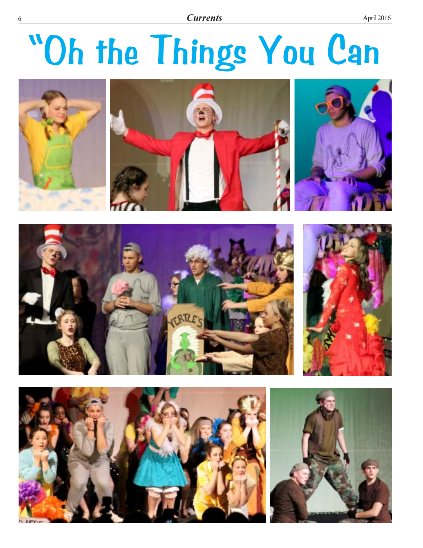# "Oh the Things You Can







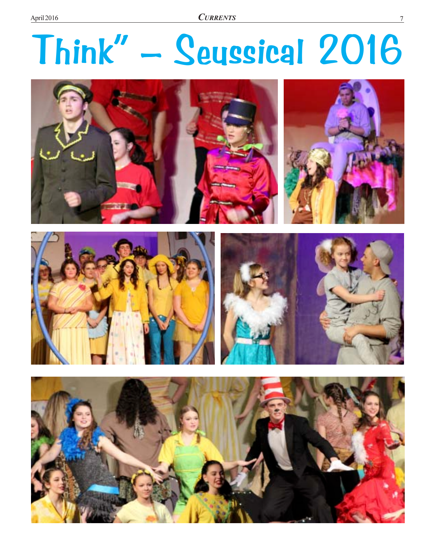**CURRENTS** 

# Think" - Seussical 2016





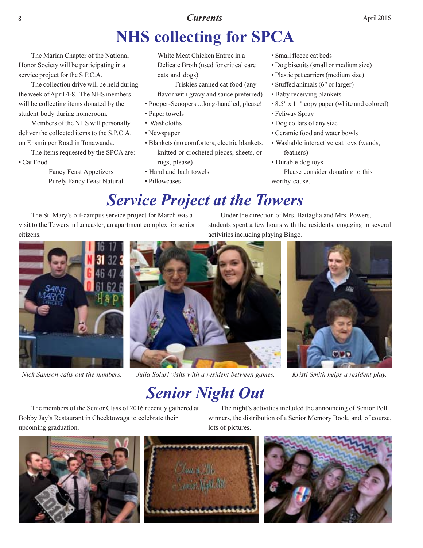## **NHS collecting for SPCA**

The Marian Chapter of the National Honor Society will be participating in a service project for the S.P.C.A.

The collection drive will be held during the week of April 4-8. The NHS members will be collecting items donated by the student body during homeroom.

Members of the NHS will personally deliver the collected items to the S.P.C.A. on Ensminger Road in Tonawanda.

The items requested by the SPCA are: • Cat Food

- Fancy Feast Appetizers
- Purely Fancy Feast Natural

White Meat Chicken Entree in a Delicate Broth (used for critical care cats and dogs)

- Friskies canned cat food (any flavor with gravy and sauce preferred)

- Pooper-Scoopers....long-handled, please!
- Paper towels
- Washcloths
- Newspaper
- · Blankets (no comforters, electric blankets, knitted or crocheted pieces, sheets, or rugs, please)
- Hand and bath towels
- · Pillowcases
- · Small fleece cat beds
- Dog biscuits (small or medium size)
- · Plastic pet carriers (medium size)
- Stuffed animals (6" or larger)
- Baby receiving blankets
- 8.5" x 11" copy paper (white and colored)
- Feliway Spray
- Dog collars of any size
- Ceramic food and water bowls
- Washable interactive cat toys (wands, feathers)
- Durable dog toys

Please consider donating to this worthy cause.

## **Service Project at the Towers**

The St. Mary's off-campus service project for March was a visit to the Towers in Lancaster, an apartment complex for senior citizens



Nick Samson calls out the numbers.



Under the direction of Mrs. Battaglia and Mrs. Powers, students spent a few hours with the residents, engaging in several activities including playing Bingo.



Kristi Smith helps a resident play.

## **Senior Night Out**

lots of pictures.

The members of the Senior Class of 2016 recently gathered at Bobby Jay's Restaurant in Cheektowaga to celebrate their upcoming graduation.







The night's activities included the announcing of Senior Poll

winners, the distribution of a Senior Memory Book, and, of course,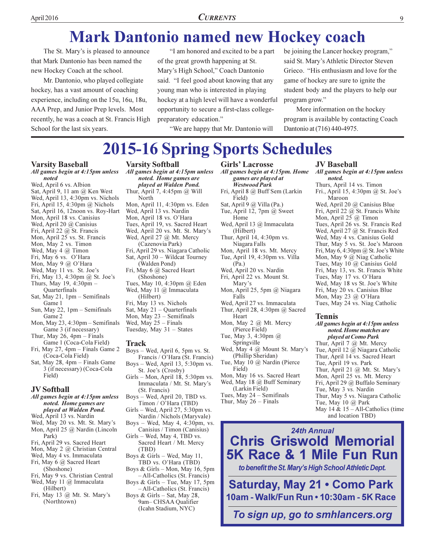## **Mark Dantonio named new Hockey coach**

The St. Mary's is pleased to announce that Mark Dantonio has been named the new Hockey Coach at the school.

Mr. Dantonio, who played collegiate hockey, has a vast amount of coaching experience, including on the 15u, 16u, 18u, AAA Prep, and Junior Prep levels. Most recently, he was a coach at St. Francis High School for the last six years.

"I am honored and excited to be a part of the great growth happening at St. Mary's High School," Coach Dantonio said. "I feel good about knowing that any young man who is interested in playing hockey at a high level will have a wonderful opportunity to secure a first-class collegepreparatory education."

"We are happy that Mr. Dantonio will

be joining the Lancer hockey program," said St. Mary's Athletic Director Steven Grieco. "His enthusiasm and love for the game of hockey are sure to ignite the student body and the players to help our program grow."

More information on the hockey program is available by contacting Coach Dantonio at (716) 440-4975.

## **2015-16 Spring Sports Schedules**

### **Varsity Baseball**

#### All games begin at 4:15pm unless noted

Wed, April 6 vs. Albion Sat, April 9, 11 am @ Ken West Wed, April 13, 4:30pm vs. Nichols Fri, April 15, 4:30pm  $@$  Nichols Sat, April 16, 12noon vs. Roy-Hart Mon, April 18 vs. Canisius Wed, April 20 @ Canisius Fri, April 22 @ St. Francis Mon, April 25 vs. St. Francis Mon, May 2 vs. Timon Wed, May 4 @ Timon Fri, May 6 vs. O'Hara Mon, May 9 @ O'Hara Wed, May 11 vs. St. Joe's Fri, May 13, 4:30pm @ St. Joe's Thurs, May 19, 4:30pm -Quarterfinals Sat, May 21, 1pm - Semifinals Game 1 Sun, May 22, 1pm – Semifinals Game 2 Mon, May 23, 4:30pm - Semifinals Game 3 (if necessary)

- Thur, May 26,  $4pm -$  Finals Game 1 (Coca-Cola Field)
- Fri, May 27, 4pm Finals Game 2 (Coca-Cola Field)
- Sat, May 28, 4pm Finals Game 3 (if necessary) (Coca-Cola Field)

### **JV** Softball

- All games begin at 4:15pm unless noted. Home games are played at Walden Pond.
- Wed, April 13 vs. Nardin
- Wed, May 20 vs. Mt. St. Mary's
- Mon, April 25 @ Nardin (Lincoln Park)
- Fri, April 29 vs. Sacred Heart
- Mon, May 2 @ Christian Central
- Wed, May 4 vs. Immaculata
- Fri, May 6 @ Sacred Heart (Shoshone)
- Fri, May 9 vs. Christian Central Wed, May 11 @ Immaculata
- (Hilbert) Fri, May 13 @ Mt. St. Mary's
- (Northtown)

### **Varsity Softball**

All games begin at 4:15pm unless noted. Home games are played at Walden Pond. Thur, April 7, 4:45pm  $@$  Will North Mon, April 11, 4:30pm vs. Eden Wed, April 13 vs. Nardin Mon, April 18 vs. O'Hara Tues, April 19, vs. Sacred Heart Wed, April 20 vs. Mt. St. Mary's Wed, April 27 @ Mt. Mercy (Cazenovia Park) Fri, April 29 vs. Niagara Catholic Sat, April 30 - Wildcat Tourney (Walden Pond) Fri, May 6 @ Sacred Heart (Shoshone) Tues, May 10, 4:30pm @ Eden Wed, May 11 @ Immaculata (Hilbert) Fri, May 13 vs. Nichols Sat, May  $21 -$ Quarterfinals Mon, May  $23$  – Semifinals Wed, May  $25 -$  Finals Tuesday, May 31 - States

#### Track

Boys – Wed, April 6, 5pm vs. St. Francis / O'Hara (St. Francis) Boys - Wed, April 13, 5:30pm vs. St. Joe's (Crosby) Girls - Mon, April 18, 5:30pm vs. Immaculata / Mt. St. Mary's (St. Francis) Boys - Wed, April 20, TBD vs. Timon / O'Hara (TBD) Girls – Wed, April 27, 5:30pm vs. Nardin / Nichols (Maryvale) Boys – Wed, May 4, 4:30pm, vs. Canisius / Timon (Canisius) Girls – Wed, May 4, TBD vs. Sacred Heart / Mt. Mercy  $(TBD)$ Boys & Girls - Wed, May 11, TBD vs. O'Hara (TBD) Boys & Girls - Mon, May 16, 5pm - All-Catholics (St. Francis) Boys & Girls - Tue, May 17, 5pm

- All-Catholics (St. Francis) Boys & Girls - Sat, May 28, 9am-CHSAA Qualifier (Icahn Stadium, NYC)

All games begin at 4:15pm. Home games are played at **Westwood Park** Fri, April 8 @ Buff Sem (Larkin Field) Sat, April 9 @ Villa (Pa.) Tue, April 12,  $7 \text{pm} \& 0$  Sweet Home Wed, April 13 @ Immaculata (Hilbert) Thur, April 14, 4:30pm vs. Niagara Falls Mon, April 18 vs. Mt. Mercy Tue, April 19, 4:30pm vs. Villa  $(Pa)$ Wed, April 20 vs. Nardin Fri, April 22 vs. Mount St. Mary's Mon, April 25, 5pm @ Niagara Falls Wed, April 27 vs. Immaculata

**Girls' Lacrosse** 

Thur, April 28, 4:30pm  $@$  Sacred Heart

Mon, May 2 @ Mt. Mercy (Pierce Field) Tue, May 3, 4:30pm @

Springville Wed, May 4 @ Mount St. Mary's (Phillip Sheridan) Tue, May 10 @ Nardin (Pierce

Field) Mon, May 16 vs. Sacred Heart Wed, May 18 @ Buff Seminary (Larkin Field)

Tues, May 24 - Semifinals

Thur, May  $26$  – Finals

### **JV Baseball**

All games begin at 4:15pm unless noted. Thurs, April 14 vs. Timon Fri., April 15, 4:30pm @ St. Joe's Maroon Wed, April 20 @ Canisius Blue Fri, April 22  $\omega$  St. Francis White Mon, April  $25 \overline{a}$  Timon Tues, April 26 vs. St. Francis Red Wed, April 27 @ St. Francis Red Wed, May 4 vs. Canisius Gold Thur, May 5 vs. St. Joe's Maroon Fri, May 6, 4:30pm  $@$  St. Joe's White Mon, May 9  $@$  Niag Catholic Tues, May 10 @ Canisius Gold Fri, May 13, vs. St. Francis White Tues, May 17 vs. O'Hara Wed, May 18 vs St. Joe's White Fri, May 20 vs. Canisius Blue Mon, May 23 @ O'Hara Tues, May 24 vs. Niag Catholic

### **Tennis**

All games begin at 4:15pm unless noted. Home matches are played at Como Park

Thur, April 7 @ Mt. Mercy Tue, April 12 @ Niagara Catholic Thur, April 14 vs. Sacred Heart Tue, April 19 vs. Park Thur, April 21  $@$  Mt. St. Mary's Mon, April 25 vs. Mt. Mercy Fri, April 29 @ Buffalo Seminary Tue, May 3 vs. Nardin Thur, May 5 vs. Niagara Catholic Tue, May 10  $@$  Park May 14 &  $15 - All-Catholics$  (time and location TBD)

**24th Annual Chris Griswold Memorial** 5K Race & 1 Mile Fun Run to benefit the St. Mary's High School Athletic Dept.

**Saturday, May 21 . Como Park** 10am - Walk/Fun Run • 10:30am - 5K Race

To sign up, go to smhlancers.org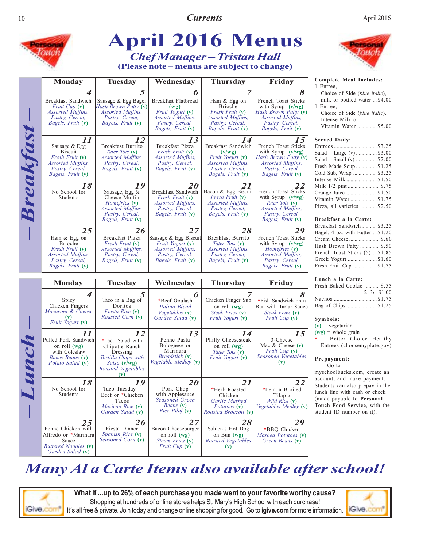|           |                                                                                                                              |                                                                                                                                     | <b>April 2016 Menus</b><br><b>Chef Manager - Tristan Hall</b><br>(Please note – menus are subject to change)        |                                                                                                                                         |                                                                                                                                              |                                                                                                                                                                                |
|-----------|------------------------------------------------------------------------------------------------------------------------------|-------------------------------------------------------------------------------------------------------------------------------------|---------------------------------------------------------------------------------------------------------------------|-----------------------------------------------------------------------------------------------------------------------------------------|----------------------------------------------------------------------------------------------------------------------------------------------|--------------------------------------------------------------------------------------------------------------------------------------------------------------------------------|
|           | <b>Monday</b>                                                                                                                | <b>Tuesday</b>                                                                                                                      | Wednesday                                                                                                           | <b>Thursday</b>                                                                                                                         | Friday                                                                                                                                       | Complete Meal Includes:                                                                                                                                                        |
|           | Breakfast Sandwich<br>Fruit Cup (v)<br><i>Assorted Muffins,</i><br>Pastry, Cereal,<br>Bagels, Fruit (v)                      | 5<br>Sausage & Egg Bagel<br>Hash Brown Patty (v)<br><b>Assorted Muffins.</b><br>Pastry, Cereal,<br>Bagels, Fruit (v)                | Breakfast Flatbread<br>(wg)<br>Fruit Yogurt (v)<br><i>Assorted Muffins,</i><br>Pastry, Cereal,<br>Bagels, Fruit (v) | $\overline{7}$<br>Ham & Egg on<br><b>Brioche</b><br>Fresh Fruit (v)<br><i>Assorted Muffins,</i><br>Pastry, Cereal,<br>Bagels, Fruit (v) | 8<br>French Toast Sticks<br>with Syrup $(v/wg)$<br>Hash Brown Patty (v)<br><i>Assorted Muffins,</i><br>Pastry, Cereal,<br>Bagels, Fruit (v)  | 1 Entree,<br>Choice of Side (blue italic<br>milk or bottled water  \$4<br>1 Entree,<br>Choice of Side (blue italic<br>Intense Milk or<br>Vitamin Water \$5                     |
| Breakfast | 11<br>Sausage & Egg<br><b>Biscuit</b><br>Fresh Fruit (v)<br><i>Assorted Muffins,</i><br>Pastry, Cereal,<br>Bagels, Fruit (v) | 12<br>Breakfast Burrito<br>Tater Tots (v)<br>Assorted Muffins,<br>Pastry, Cereal,<br>Bagels, Fruit (v)                              | 13<br>Breakfast Pizza<br>Fresh Fruit (v)<br>Assorted Muffins,<br>Pastry, Cereal,<br><i>Bagels, Fruit</i> (v)        | 14<br>Breakfast Sandwich<br>(v/wg)<br>Fruit Yogurt (v)<br><i>Assorted Muffins,</i><br>Pastry, Cereal,<br>Bagels, Fruit (v)              | 15<br>French Toast Sticks<br>with Syrup $(v/wg)$<br>Hash Brown Patty (v)<br><i>Assorted Muffins,</i><br>Pastry, Cereal,<br>Bagels, Fruit (v) | <b>Served Daily:</b><br>Salad – Large (v)  \$3<br>Salad – Small (v) \$2<br>Fresh Made Soup \$1<br>Cold Sub, Wrap  \$3                                                          |
|           | 18<br>No School for<br>Students                                                                                              | 19<br>Sausage, Egg &<br>Cheese Muffin<br>Homefries (v)<br><i>Assorted Muffins,</i><br>Pastry, Cereal,<br>Bagels, Fruit (v)          | 20<br>Breakfast Sandwich<br>Fresh Fruit (v)<br>Assorted Muffins,<br>Pastry, Cereal,<br>Bagels, Fruit (v)            | 21<br>Bacon & Egg Biscuit<br><i>Fresh Fruit</i> (v)<br><i>Assorted Muffins,</i><br>Pastry, Cereal,<br><i>Bagels, Fruit</i> (v)          | French Toast Sticks<br>with Syrup $(v/wg)$<br>Tater Tots (v)<br><i>Assorted Muffins,</i><br>Pastry, Cereal,<br>Bagels, Fruit (v)             | Orange Juice \$1<br>Vitamin Water \$1<br>Pizza, all varieties  \$2<br>Breakfast a la Carte:                                                                                    |
|           | 25<br>Ham & Egg on<br>Brioche<br><i>Fresh Fruit</i> (v)<br><i>Assorted Muffins,</i><br>Pastry, Cereal,<br>Bagels, Fruit (v)  | 26<br>Breakfast Pizza<br>Fresh Fruit (v)<br>Assorted Muffins,<br>Pastry, Cereal,<br><i>Bagels, Fruit</i> (v)                        | 27<br>Sausage & Egg Biscuit<br>Fruit Yogurt (v)<br>Assorted Muffins,<br>Pastry, Cereal,<br><i>Bagels, Fruit</i> (v) | 28<br>Breakfast Burrito<br>Tater Tots (v)<br><i>Assorted Muffins,</i><br>Pastry, Cereal,<br>Bagels, Fruit (v)                           | 29<br>French Toast Sticks<br>with Syrup $(v/wg)$<br><i>Homefries</i> (v)<br><i>Assorted Muffins,</i><br>Pastry, Cereal,<br>Bagels, Fruit (v) | Breakfast Sandwich\$3<br>Bagel; 4 oz. with Butter  \$1<br>Hash Brown Patty  \$<br>French Toast Sticks (5)  \$1<br>Fresh Fruit Cup \$1                                          |
|           | <b>Monday</b>                                                                                                                | <b>Tuesday</b>                                                                                                                      | Wednesday                                                                                                           | <b>Thursday</b>                                                                                                                         | Friday                                                                                                                                       | Lunch a la Carte:                                                                                                                                                              |
| Lunc      | 4<br>Spicy<br>Chicken Fingers<br>Macaroni & Cheese<br>$(\mathbf{v})$<br>Fruit Yogurt (v)                                     | Taco in a Bag of<br>Doritos<br>Fiesta Rice (v)<br>Roasted Corn (v)                                                                  | n<br>*Beef Goulash<br>Italian Blend<br><i>Vegetables</i> $(v)$<br>Garden Salad (v)                                  | Chicken Finger Sub<br>on roll $(wg)$<br>Steak Fries (v)<br>Fruit Yogurt (v)                                                             | *Fish Sandwich on a<br>Bun with Tartar Sauce<br>Steak Fries (v)<br><i>Fruit Cup</i> $(v)$                                                    | Fresh Baked Cookie  \$<br>2 for \$1<br>Nachos \$1<br>Bag of Chips \$1<br>Symbols:<br>$(v)$ = vegetarian                                                                        |
|           | 11<br>Pulled Pork Sandwich<br>on roll (wg)<br>with Coleslaw<br>Bakes Beans (v)<br>Potato Salad (v)                           | 12<br>*Taco Salad with<br>Chipotle Ranch<br>Dressing<br>Tortilla Chips with<br>Salsa (v/wg)<br>Roasted Vegetables<br>$(\mathbf{v})$ | 13<br>Penne Pasta<br>Bolognese or<br>Marinara<br>Breadstick (v)<br>Vegetable Medley (v)                             | 14<br>Philly Cheesesteak<br>on roll (wg)<br>Tater Tots (v)<br>Fruit Yogurt (v)                                                          | 15<br>3-Cheese<br>Mac $&$ Cheese $(v)$<br><i>Fruit Cup</i> $(v)$<br>Seasoned Vegetables<br>$(\mathbf{v})$                                    | $(wg)$ = whole grain<br>$*$ = Better Choice Heal<br>Entrees (choosemyplate.g<br>Prepayment:<br>Go to<br>myschoolbucks.com, create                                              |
|           | 18<br>No School for<br>Students                                                                                              | 19<br>Taco Tuesday -<br>Beef or *Chicken<br>Tacos<br>Mexican Rice (v)<br>Garden Salad (v)                                           | 20<br>Pork Chop<br>with Applesauce<br>Seasoned Green<br>Beans (v)<br><i>Rice Pilaf</i> (v)                          | 21<br>*Herb Roasted<br>Chicken<br>Garlic Mashed<br>Potatoes (v)<br>Roasted Broccoli (v)                                                 | 22<br>*Lemon Broiled<br>Tilapia<br>Wild Rice (v)<br>Vegetables Medley (v)                                                                    | account, and make payment<br>Students can also prepay in<br>lunch line with cash or chec<br>(made payable to Personal<br>Touch Food Service, with<br>student ID number on it). |
|           | 25<br>Penne Chicken with<br>Alfredo or *Marinara<br>Sauce<br><b>Buttered Noodles (v)</b><br>Garden Salad (v)                 | 26<br>Fiesta Dinner<br>Spanish Rice (v)<br>Seasoned Corn (v)                                                                        | 27<br>Bacon Cheeseburger<br>on roll $(wg)$<br>Steam Fries (v)<br><i>Fruit Cup</i> (v)                               | 28<br>Sahlen's Hot Dog<br>on Bun $(wg)$<br>Roasted Vegetables<br>$(\mathbf{v})$                                                         | 29<br>*BBQ Chicken<br>Mashed Potatoes (v)<br>Green Beans (v)                                                                                 |                                                                                                                                                                                |

(blue italic), water ... \$4.00

(blue italic),  $\ldots$ .............\$5.00

| Entrees\$3.25               |
|-----------------------------|
| Salad – Large (v)  \$3.00   |
| Salad – Small (v) \$2.00    |
| Fresh Made Soup \$1.25      |
| Cold Sub, Wrap \$3.25       |
| Intense Milk  \$1.50        |
| Milk 1/2 pint \$.75         |
| Orange Juice \$1.50         |
| Vitamin Water\$1.75         |
| Pizza, all varieties \$2.50 |
|                             |

### Carte:

| Breakfast Sandwich \$3.25        |  |
|----------------------------------|--|
| Bagel; 4 oz. with Butter  \$1.20 |  |
| Cream Cheese  \$.60              |  |
| Hash Brown Patty  \$.50          |  |
| French Toast Sticks (5)  \$1.85  |  |
| Greek Yogurt \$1.60              |  |
| Fresh Fruit Cup \$1.75           |  |
|                                  |  |

### te:

| Fresh Baked Cookie  \$.55 |              |
|---------------------------|--------------|
|                           | 2 for \$1.00 |
|                           |              |
| Bag of Chips\$1.25        |              |

oice Healthy emyplate.gov)

om, create an ce payment. prepay in the ush or check Personal vice, with the  $er \text{ on } it$ ).

## Many Al a Carte Items also available after school!

**iGive.com** 

What if ...up to 26% of each purchase you made went to your favorite worthy cause? Shopping at hundreds of online stores helps St. Mary's High School with each purchase! It's all free & private. Join today and change online shopping for good. Go to igive.com for more information.

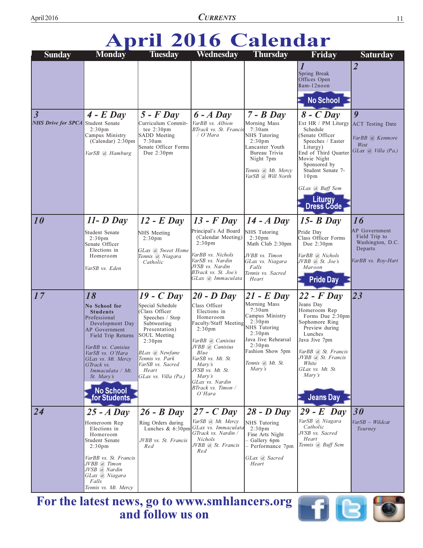## **April 2016 Calendar**

| <b>Sunday</b>                                         | <b>Monday</b>                                                                                                                                                                                                                                                               | <b>Tuesday</b>                                                                                                                                                                                                                                       | Wednesday                                                                                                                                                                                                                                                                   | <b>Thursday</b>                                                                                                                                                                                                      | Friday                                                                                                                                                                                                                                                  | <b>Saturday</b>                                                                              |
|-------------------------------------------------------|-----------------------------------------------------------------------------------------------------------------------------------------------------------------------------------------------------------------------------------------------------------------------------|------------------------------------------------------------------------------------------------------------------------------------------------------------------------------------------------------------------------------------------------------|-----------------------------------------------------------------------------------------------------------------------------------------------------------------------------------------------------------------------------------------------------------------------------|----------------------------------------------------------------------------------------------------------------------------------------------------------------------------------------------------------------------|---------------------------------------------------------------------------------------------------------------------------------------------------------------------------------------------------------------------------------------------------------|----------------------------------------------------------------------------------------------|
|                                                       |                                                                                                                                                                                                                                                                             |                                                                                                                                                                                                                                                      |                                                                                                                                                                                                                                                                             |                                                                                                                                                                                                                      | $\boldsymbol{l}$<br>Spring Break<br>Offices Open<br>8am-12noon<br><b>No School</b>                                                                                                                                                                      | $\overline{2}$                                                                               |
| $\vert$ 3<br><b>NHS Drive for SPCA</b> Student Senate | $4$ - E Day<br>2:30 <sub>pm</sub><br>Campus Ministry<br>(Calendar) 2:30pm<br>VarSB @ Hamburg                                                                                                                                                                                | $5$ - $F$ Day<br>Curriculum Commit-<br>tee $2:30 \text{pm}$<br>SADD Meeting<br>7:30am<br>Senate Officer Forms<br>Due $2:30 \text{pm}$                                                                                                                | $6 - A$ Day<br>VarBB vs. Albion<br>BTrack vs. St. Francis<br>$\sqrt{O'}$ Hara                                                                                                                                                                                               | $7 - B$ Day<br>Morning Mass<br>7:30am<br>NHS Tutoring<br>2:30 <sub>pm</sub><br>Lancaster Youth<br>Bureau Trivia<br>Night 7pm<br>Tennis @, Mt. Mercy<br>VarSB @, Will North                                           | $8$ - C Day<br>Ext HR / PM Liturgy<br>Schedule<br>(Senate Officer<br>Speeches / Easter<br>Liturgy)<br>End of Third Quarter<br>Movie Night<br>Sponsored by<br>Student Senate 7-<br>10 <sub>pm</sub><br>GLax (a) Buff Sem<br><b>Liturgy</b><br>Dress Códe | $\boldsymbol{q}$<br><b>ACT</b> Testing Date<br>VarBB @ Kenmore<br>West<br>GLax @ Villa (Pa.) |
| $\overline{10}$                                       | $11 - D$ Day                                                                                                                                                                                                                                                                | $12$ - E Day                                                                                                                                                                                                                                         | $13$ - F Day                                                                                                                                                                                                                                                                | $14 - A$ Day                                                                                                                                                                                                         | $15 - B$ Day                                                                                                                                                                                                                                            | 16                                                                                           |
|                                                       | Student Senate<br>2:30 <sub>pm</sub><br>Senate Officer<br>Elections in<br>Homeroom                                                                                                                                                                                          | NHS Meeting<br>2:30 <sub>pm</sub><br>GLax (a) Sweet Home<br>Tennis @ Niagara<br>Catholic                                                                                                                                                             | Principal's Ad Board<br>(Calendar Meeting)<br>2:30 <sub>pm</sub><br>VarBB vs. Nichols<br>VarSB vs. Nardin                                                                                                                                                                   | NHS Tutoring<br>2:30 <sub>pm</sub><br>Math Club 2:30pm<br>JVBB vs. Timon<br>GLax vs. Niagara                                                                                                                         | Pride Day<br>Class Officer Forms<br>Due 2:30pm<br>VarBB (a) Nichols<br>JVBB @ St. Joe's                                                                                                                                                                 | <b>AP</b> Government<br>Field Trip to<br>Washington, D.C.<br>Departs<br>VarBB vs. Roy-Hart   |
|                                                       | VarSB vs. Eden                                                                                                                                                                                                                                                              |                                                                                                                                                                                                                                                      | JVSB vs. Nardin<br>BTrack vs. St. Joe's<br>GLax @ Immaculata                                                                                                                                                                                                                | Falls<br>Tennis vs. Sacred<br>Heart                                                                                                                                                                                  | Maroon<br><b>Pride Day</b>                                                                                                                                                                                                                              |                                                                                              |
| $\vert$ 17                                            | 18<br><b>No School for</b><br><b>Students</b><br>Professional<br>Development Day<br>AP Government<br>Field Trip Returns<br>VarBB vs. Canisius<br>VarSB vs. O'Hara<br>GLax vs. Mt. Mercy<br>GTrack vs.<br>Immaculata / Mt.<br>St. Mary's<br><b>No School</b><br>for Students | $19$ - C Day<br>Special Schedule<br>Class Officer<br>Speeches / Stop<br>Subtweeting<br>Presentation)<br><b>SOUL Meeting</b><br>2:30 <sub>pm</sub><br>BLax <i>(a)</i> Newfane<br>Tennis vs. Park<br>VarSB vs. Sacred<br>Heart<br>GLax vs. Villa (Pa.) | $20 - D$ Day<br>Class Officer<br>Elections in<br>Homeroom<br>Faculty/Staff Meeting<br>2:30 <sub>pm</sub><br>VarBB @ Canisius<br>JVBB @ Canisius<br>Blue<br>VarSB vs. Mt. St.<br>Mary's<br>JVSB vs. Mt. St.<br>Mary's<br>GLax vs. Nardin<br>BTrack vs. Timon /<br>$O' H$ ara | $21$ - E Day<br>Morning Mass<br>7:30am<br>Campus Ministry<br>2:30 <sub>pm</sub><br>NHS Tutoring<br>2:30 <sub>pm</sub><br>Java Jive Rehearsal<br>2:30 <sub>pm</sub><br>Fashion Show 5pm<br>Tennis @ Mt. St.<br>Mary's | $22$ - F Day<br>Jeans Day<br>Homeroom Rep<br>Forms Due 2:30pm<br>Sophomore Ring<br>Preview during<br>Lunches<br>Java Jive 7pm<br>VarBB @ St. Francis<br>JVBB @ St. Francis<br>White<br>GLax vs. Mt. St.<br>Mary's<br><b>Jeans Day</b>                   | 23                                                                                           |
| 24                                                    | $25 - A$ Day<br>Homeroom Rep<br>Elections in<br>Homeroom<br>Student Senate<br>2:30 <sub>pm</sub><br>VarBB vs. St. Francis<br>JVBB @ Timon<br>JVSB @ Nardin<br>GLax @ Niagara<br>Falls                                                                                       | $26 - B$ Day<br>Ring Orders during<br>JVBB vs. St. Francis<br>Red                                                                                                                                                                                    | $27 - C$ Day<br>VarSB @, Mt. Mercy<br>Lunches & 6:30pm GLax vs. Immaculata<br>GTrack vs. Nardin /<br>Nichols<br>JVBB @ St. Francis<br>Red                                                                                                                                   | $28 - D$ Day<br>NHS Tutoring<br>2:30 <sub>pm</sub><br>Fine Arts Night<br>- Gallery 6pm<br>- Performance 7pm<br>GLax (a) Sacred<br>Heart                                                                              | $29$ - E Day<br>VarSB @ Niagara<br>Catholic<br>JVSB vs. Sacred<br>Heart<br>Tennis @ Buff Sem                                                                                                                                                            | 30<br>VarSB - Wildcat<br>Tourney                                                             |

For the latest news, go to www.smhlancers.org<br>and follow us on